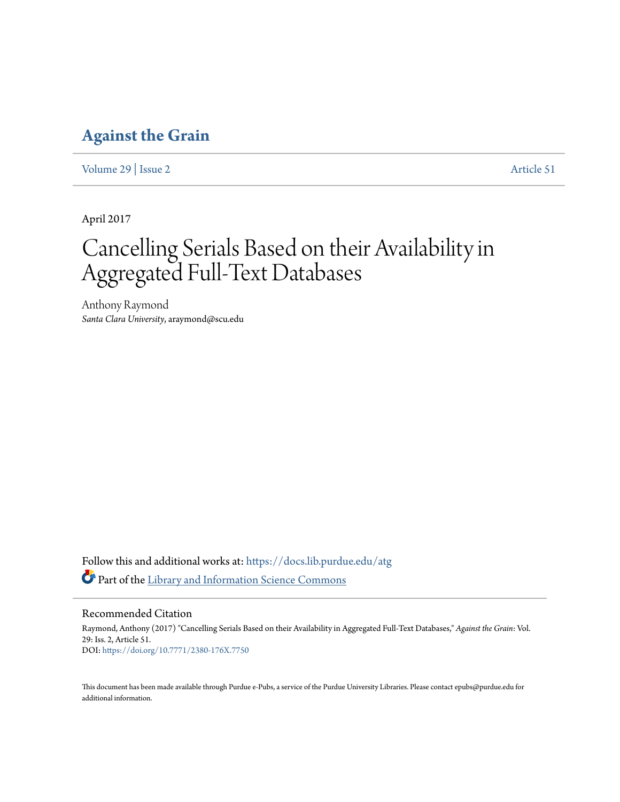# **[Against the Grain](https://docs.lib.purdue.edu/atg?utm_source=docs.lib.purdue.edu%2Fatg%2Fvol29%2Fiss2%2F51&utm_medium=PDF&utm_campaign=PDFCoverPages)**

[Volume 29](https://docs.lib.purdue.edu/atg/vol29?utm_source=docs.lib.purdue.edu%2Fatg%2Fvol29%2Fiss2%2F51&utm_medium=PDF&utm_campaign=PDFCoverPages) | [Issue 2](https://docs.lib.purdue.edu/atg/vol29/iss2?utm_source=docs.lib.purdue.edu%2Fatg%2Fvol29%2Fiss2%2F51&utm_medium=PDF&utm_campaign=PDFCoverPages) [Article 51](https://docs.lib.purdue.edu/atg/vol29/iss2/51?utm_source=docs.lib.purdue.edu%2Fatg%2Fvol29%2Fiss2%2F51&utm_medium=PDF&utm_campaign=PDFCoverPages)

April 2017

# Cancelling Serials Based on their Availability in Aggregated Full-Text Databases

Anthony Raymond *Santa Clara University*, araymond@scu.edu

Follow this and additional works at: [https://docs.lib.purdue.edu/atg](https://docs.lib.purdue.edu/atg?utm_source=docs.lib.purdue.edu%2Fatg%2Fvol29%2Fiss2%2F51&utm_medium=PDF&utm_campaign=PDFCoverPages) Part of the [Library and Information Science Commons](http://network.bepress.com/hgg/discipline/1018?utm_source=docs.lib.purdue.edu%2Fatg%2Fvol29%2Fiss2%2F51&utm_medium=PDF&utm_campaign=PDFCoverPages)

Recommended Citation

Raymond, Anthony (2017) "Cancelling Serials Based on their Availability in Aggregated Full-Text Databases," *Against the Grain*: Vol. 29: Iss. 2, Article 51. DOI: <https://doi.org/10.7771/2380-176X.7750>

This document has been made available through Purdue e-Pubs, a service of the Purdue University Libraries. Please contact epubs@purdue.edu for additional information.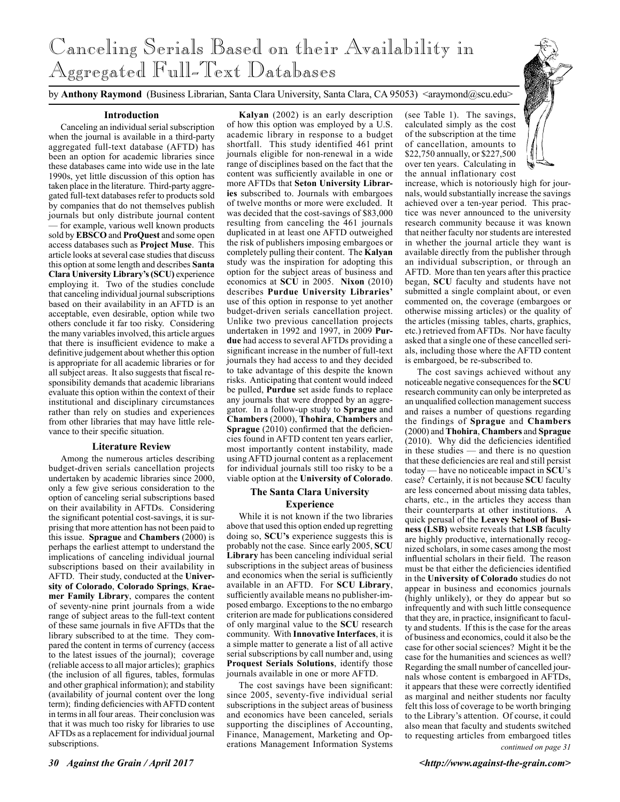# Canceling Serials Based on their Availability in Aggregated Full-Text Databases

by **Anthony Raymond** (Business Librarian, Santa Clara University, Santa Clara, CA 95053) <araymond@scu.edu>

### **Introduction**

Canceling an individual serial subscription when the journal is available in a third-party aggregated full-text database (AFTD) has been an option for academic libraries since these databases came into wide use in the late 1990s, yet little discussion of this option has taken place in the literature. Third-party aggregated full-text databases refer to products sold by companies that do not themselves publish journals but only distribute journal content — for example, various well known products sold by **EBSCO** and **ProQuest** and some open access databases such as **Project Muse**. This article looks at several case studies that discuss this option at some length and describes **Santa Clara University Library's (SCU)** experience employing it. Two of the studies conclude that canceling individual journal subscriptions based on their availability in an AFTD is an acceptable, even desirable, option while two others conclude it far too risky. Considering the many variables involved, this article argues that there is insufficient evidence to make a definitive judgement about whether this option is appropriate for all academic libraries or for all subject areas. It also suggests that fiscal responsibility demands that academic librarians evaluate this option within the context of their institutional and disciplinary circumstances rather than rely on studies and experiences from other libraries that may have little relevance to their specific situation.

#### **Literature Review**

Among the numerous articles describing budget-driven serials cancellation projects undertaken by academic libraries since 2000, only a few give serious consideration to the option of canceling serial subscriptions based on their availability in AFTDs. Considering the significant potential cost-savings, it is surprising that more attention has not been paid to this issue. **Sprague** and **Chambers** (2000) is perhaps the earliest attempt to understand the implications of canceling individual journal subscriptions based on their availability in AFTD. Their study, conducted at the **University of Colorado**, **Colorado Springs**, **Kraemer Family Library**, compares the content of seventy-nine print journals from a wide range of subject areas to the full-text content of these same journals in five AFTDs that the library subscribed to at the time. They compared the content in terms of currency (access to the latest issues of the journal); coverage (reliable access to all major articles); graphics (the inclusion of all figures, tables, formulas and other graphical information); and stability (availability of journal content over the long term); finding deficiencies with AFTD content in terms in all four areas. Their conclusion was that it was much too risky for libraries to use AFTDs as a replacement for individual journal subscriptions.

**Kalyan** (2002) is an early description of how this option was employed by a U.S. academic library in response to a budget shortfall. This study identified 461 print journals eligible for non-renewal in a wide range of disciplines based on the fact that the content was sufficiently available in one or more AFTDs that **Seton University Libraries** subscribed to. Journals with embargoes of twelve months or more were excluded. It was decided that the cost-savings of \$83,000 resulting from canceling the 461 journals duplicated in at least one AFTD outweighed the risk of publishers imposing embargoes or completely pulling their content. The **Kalyan** study was the inspiration for adopting this option for the subject areas of business and economics at **SCU** in 2005. **Nixon** (2010) describes **Purdue University Libraries'** use of this option in response to yet another budget-driven serials cancellation project. Unlike two previous cancellation projects undertaken in 1992 and 1997, in 2009 **Purdue** had access to several AFTDs providing a significant increase in the number of full-text journals they had access to and they decided to take advantage of this despite the known risks. Anticipating that content would indeed be pulled, **Purdue** set aside funds to replace any journals that were dropped by an aggregator. In a follow-up study to **Sprague** and **Chambers** (2000), **Thohira**, **Chambers** and **Sprague** (2010) confirmed that the deficiencies found in AFTD content ten years earlier, most importantly content instability, made using AFTD journal content as a replacement for individual journals still too risky to be a viable option at the **University of Colorado**.

# **The Santa Clara University Experience**

While it is not known if the two libraries above that used this option ended up regretting doing so, **SCU's** experience suggests this is probably not the case. Since early 2005, **SCU Library** has been canceling individual serial subscriptions in the subject areas of business and economics when the serial is sufficiently available in an AFTD. For **SCU Library**, sufficiently available means no publisher-imposed embargo. Exceptions to the no embargo criterion are made for publications considered of only marginal value to the **SCU** research community. With **Innovative Interfaces**, it is a simple matter to generate a list of all active serial subscriptions by call number and, using **Proquest Serials Solutions**, identify those journals available in one or more AFTD.

The cost savings have been significant: since 2005, seventy-five individual serial subscriptions in the subject areas of business and economics have been canceled, serials supporting the disciplines of Accounting, Finance, Management, Marketing and Operations Management Information Systems

(see Table 1). The savings, calculated simply as the cost of the subscription at the time of cancellation, amounts to \$22,750 annually, or \$227,500 over ten years. Calculating in the annual inflationary cost

increase, which is notoriously high for journals, would substantially increase the savings achieved over a ten-year period. This practice was never announced to the university research community because it was known that neither faculty nor students are interested in whether the journal article they want is available directly from the publisher through an individual subscription, or through an AFTD. More than ten years after this practice began, **SCU** faculty and students have not submitted a single complaint about, or even commented on, the coverage (embargoes or otherwise missing articles) or the quality of the articles (missing tables, charts, graphics, etc.) retrieved from AFTDs. Nor have faculty asked that a single one of these cancelled serials, including those where the AFTD content is embargoed, be re-subscribed to.

*continued on page 31* The cost savings achieved without any noticeable negative consequences for the **SCU** research community can only be interpreted as an unqualified collection management success and raises a number of questions regarding the findings of **Sprague** and **Chambers** (2000) and **Thohira**, **Chambers** and **Sprague** (2010). Why did the deficiencies identified in these studies — and there is no question that these deficiencies are real and still persist today — have no noticeable impact in **SCU**'s case? Certainly, it is not because **SCU** faculty are less concerned about missing data tables, charts, etc., in the articles they access than their counterparts at other institutions. A quick perusal of the **Leavey School of Business (LSB)** website reveals that **LSB** faculty are highly productive, internationally recognized scholars, in some cases among the most influential scholars in their field. The reason must be that either the deficiencies identified in the **University of Colorado** studies do not appear in business and economics journals (highly unlikely), or they do appear but so infrequently and with such little consequence that they are, in practice, insignificant to faculty and students. If this is the case for the areas of business and economics, could it also be the case for other social sciences? Might it be the case for the humanities and sciences as well? Regarding the small number of cancelled journals whose content is embargoed in AFTDs, it appears that these were correctly identified as marginal and neither students nor faculty felt this loss of coverage to be worth bringing to the Library's attention. Of course, it could also mean that faculty and students switched to requesting articles from embargoed titles

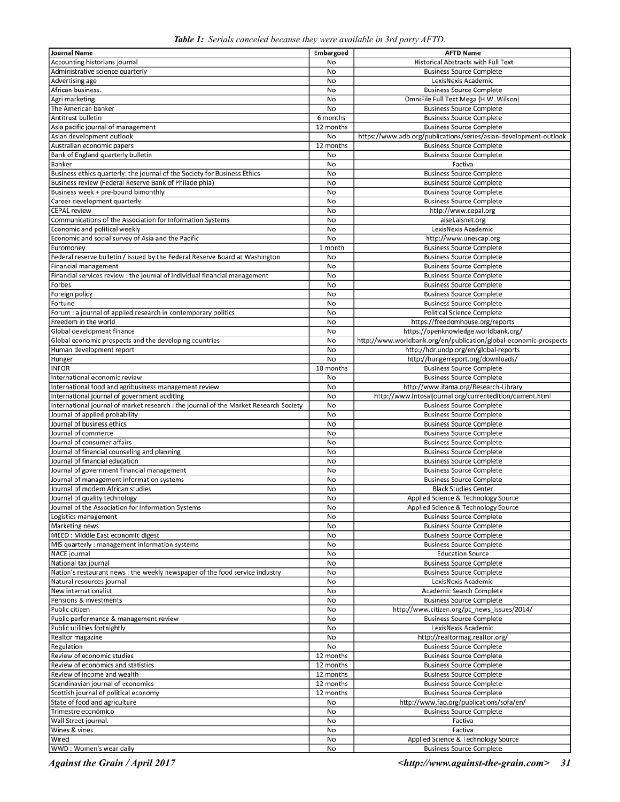|  |  | Table 1: Serials canceled because they were available in 3rd party AFTD. |  |  |
|--|--|--------------------------------------------------------------------------|--|--|
|  |  |                                                                          |  |  |

| Journal Name                                                                          | Embargoed              | <b>AFTD Name</b>                                                      |
|---------------------------------------------------------------------------------------|------------------------|-----------------------------------------------------------------------|
| Accounting historians journal                                                         | No                     | <b>Historical Abstracts with Full Text</b>                            |
| Administrative science quarterly                                                      | No                     | <b>Business Source Complete</b>                                       |
| Advertising age                                                                       | No                     | LexisNexis Academic                                                   |
| African business.                                                                     | No                     | <b>Business Source Complete</b>                                       |
| Agri marketing.                                                                       | No                     | OmniFile Full Text Mega (H.W. Wilson)                                 |
| The American banker                                                                   | No                     | <b>Business Source Complete</b>                                       |
| Antitrust bulletin                                                                    | 6 months               | <b>Business Source Complete</b>                                       |
| Asia pacific journal of management                                                    | 12 months              | <b>Business Source Complete</b>                                       |
| Asian development outlook                                                             | No                     | https://www.adb.org/publications/series/asian-development-outlook     |
| Australian economic papers                                                            | 12 months              | <b>Business Source Complete</b>                                       |
| Bank of England quarterly bulletin                                                    | No                     | <b>Business Source Complete</b>                                       |
| Banker                                                                                | No                     | Factiva                                                               |
| Business ethics quarterly: the journal of the Society for Business Ethics             | No                     | <b>Business Source Complete</b>                                       |
| Business review (Federal Reserve Bank of Philadelphia)                                | No                     | <b>Business Source Complete</b>                                       |
| Business week + pre-bound bimonthly                                                   | No                     | <b>Business Source Complete</b>                                       |
| Career development quarterly                                                          | No                     | <b>Business Source Complete</b>                                       |
| <b>CEPAL</b> review                                                                   | No                     | http://www.cepal.org                                                  |
| Communications of the Association for Information Systems                             | No                     | aisel.aisnet.org                                                      |
| Economic and political weekly                                                         | No                     | LexisNexis Academic                                                   |
| Economic and social survey of Asia and the Pacific                                    | No                     | http://www.unescap.org                                                |
| Euromoney                                                                             | 1 month                | <b>Business Source Complete</b>                                       |
| Federal reserve bulletin / issued by the Federal Reserve Board at Washington          | No                     | <b>Business Source Complete</b>                                       |
| <b>Financial management</b>                                                           | No                     | <b>Business Source Complete</b>                                       |
| Financial services review : the journal of individual financial management            | No                     | <b>Business Source Complete</b>                                       |
| Forbes                                                                                | No                     | <b>Business Source Complete</b>                                       |
| Foreign policy                                                                        | No                     | <b>Business Source Complete</b>                                       |
| Fortune                                                                               | No                     | <b>Business Source Complete</b>                                       |
| Forum : a journal of applied research in contemporary politics                        | No                     | <b>Political Science Complete</b>                                     |
| Freedom in the world                                                                  | No                     | https://freedomhouse.org/reports                                      |
| Global development finance                                                            | No                     | https://openknowledge.worldbank.org/                                  |
| Global economic prospects and the developing countries                                | No                     | http://www.worldbank.org/en/publication/global-economic-prospects     |
| Human development report                                                              | No                     | http://hdr.undp.org/en/global-reports                                 |
| Hunger<br><b>INFOR</b>                                                                | No<br>18 months        | http://hungerreport.org/downloads/<br><b>Business Source Complete</b> |
| International economic review                                                         | No                     | <b>Business Source Complete</b>                                       |
| International food and agribusiness management review                                 | No                     | http://www.ifama.org/Research-Library                                 |
| International journal of government auditing                                          | No                     | http://www.intosaijournal.org/currentedition/current.html             |
| International journal of market research : the journal of the Market Research Society | No                     | <b>Business Source Complete</b>                                       |
| Journal of applied probability                                                        | No                     | <b>Business Source Complete</b>                                       |
| Journal of business ethics                                                            | No                     | <b>Business Source Complete</b>                                       |
| Journal of commerce                                                                   | No                     | <b>Business Source Complete</b>                                       |
| Journal of consumer affairs                                                           | No                     | <b>Business Source Complete</b>                                       |
| Journal of financial counseling and planning                                          | No                     | <b>Business Source Complete</b>                                       |
| Journal of financial education                                                        | No                     | <b>Business Source Complete</b>                                       |
| Journal of government financial management                                            | No                     | <b>Business Source Complete</b>                                       |
| Journal of management information systems                                             | No                     | <b>Business Source Complete</b>                                       |
| Journal of modern African studies                                                     | No                     | <b>Black Studies Center</b>                                           |
| Journal of quality technology                                                         | No                     | Applied Science & Technology Source                                   |
| Journal of the Association for Information Systems                                    | No                     | Applied Science & Technology Source                                   |
| Logistics management                                                                  | No                     | <b>Business Source Complete</b>                                       |
| Marketing news                                                                        | No                     | <b>Business Source Complete</b>                                       |
| MEED : Middle East economic digest                                                    | No                     | <b>Business Source Complete</b>                                       |
| MIS quarterly : management information systems                                        | No                     | <b>Business Source Complete</b>                                       |
| NACE journal                                                                          | No                     | <b>Education Source</b>                                               |
| National tax journal                                                                  | No                     | <b>Business Source Complete</b>                                       |
| Nation's restaurant news : the weekly newspaper of the food service industry          | No                     | <b>Business Source Complete</b>                                       |
| Natural resources journal                                                             | No                     | LexisNexis Academic                                                   |
| New internationalist                                                                  | No                     | Academic Search Complete                                              |
| Pensions & investments                                                                | No                     | <b>Business Source Complete</b>                                       |
| Public citizen                                                                        | No                     | http://www.citizen.org/pc_news_issues/2014/                           |
| Public performance & management review                                                | No                     | <b>Business Source Complete</b>                                       |
| Public utilities fortnightly                                                          | No                     | LexisNexis Academic                                                   |
| Realtor magazine                                                                      | No                     | http://realtormag.realtor.org/                                        |
| Regulation                                                                            | No                     | <b>Business Source Complete</b>                                       |
| Review of economic studies                                                            | 12 months              | <b>Business Source Complete</b>                                       |
| Review of economics and statistics                                                    | 12 months              | <b>Business Source Complete</b>                                       |
| Review of income and wealth                                                           | 12 months<br>12 months | <b>Business Source Complete</b>                                       |
| Scandinavian journal of economics<br>Scottish journal of political economy            | 12 months              | <b>Business Source Complete</b><br><b>Business Source Complete</b>    |
| State of food and agriculture                                                         | No                     | http://www.fao.org/publications/sofa/en/                              |
| Trimestre económico                                                                   | No                     | <b>Business Source Complete</b>                                       |
| Wall Street journal.                                                                  | No                     | Factiva                                                               |
| Wines & vines                                                                         | No                     | Factiva                                                               |
| Wired                                                                                 | No                     | Applied Science & Technology Source                                   |
| WWD: Women's wear daily                                                               | No                     | <b>Business Source Complete</b>                                       |